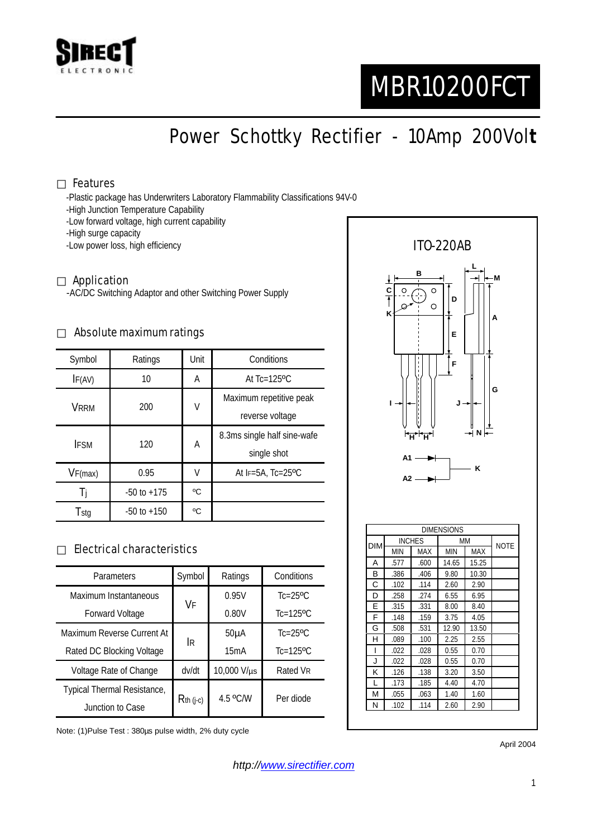

# MBR10200FCT

Power Schottky Rectifier - 10Amp 200Vol**t**

#### Features

-Plastic package has Underwriters Laboratory Flammability Classifications 94V-0

- -High Junction Temperature Capability
- -Low forward voltage, high current capability
- -High surge capacity
- -Low power loss, high efficiency

#### Application

-AC/DC Switching Adaptor and other Switching Power Supply

#### Absolute maximum ratings

| Symbol      | Ratings         | Unit | Conditions                  |  |
|-------------|-----------------|------|-----------------------------|--|
| IF(AV)      | 10              | Α    | At Tc=125°C                 |  |
| <b>VRRM</b> | 200             | V    | Maximum repetitive peak     |  |
|             |                 |      | reverse voltage             |  |
| <b>IFSM</b> | 120             | А    | 8.3ms single half sine-wafe |  |
|             |                 |      | single shot                 |  |
| VF(max)     | 0.95            | V    | At $F=5A$ , Tc=25°C         |  |
| -l i        | $-50$ to $+175$ | °C   |                             |  |
| Tstg        | $-50$ to $+150$ | °C   |                             |  |

### Electrical characteristics

| Parameters                  | Symbol      | Ratings           | Conditions                |
|-----------------------------|-------------|-------------------|---------------------------|
| Maximum Instantaneous       | VF          | 0.95V             | $Tc=25$ <sup>o</sup> $C$  |
| <b>Forward Voltage</b>      |             | 0.80V             | $Tc=125$ <sup>o</sup> $C$ |
| Maximum Reverse Current At  | <b>IR</b>   | 50 <sub>µ</sub> A | $Tc=25$ <sup>o</sup> $C$  |
| Rated DC Blocking Voltage   |             | 15mA              | $Tc=125$ <sup>o</sup> $C$ |
| Voltage Rate of Change      | dv/dt       | 10,000 V/µs       | Rated VR                  |
| Typical Thermal Resistance, | $Rth$ (j-c) | 4.5 °C/W          | Per diode                 |
| Junction to Case            |             |                   |                           |

Note: (1)Pulse Test : 380µs pulse width, 2% duty cycle



April 2004